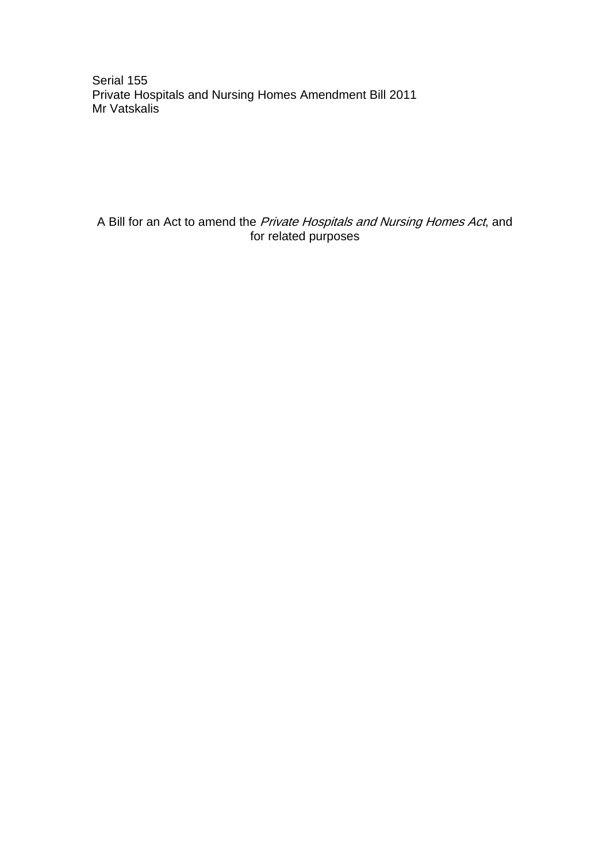Serial 155 Private Hospitals and Nursing Homes Amendment Bill 2011 Mr Vatskalis

A Bill for an Act to amend the *Private Hospitals and Nursing Homes Act*, and for related purposes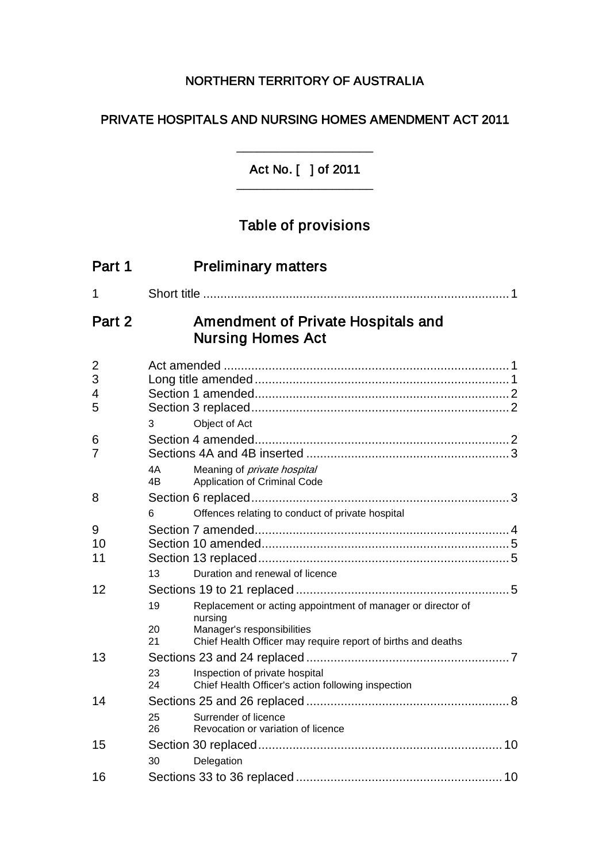# NORTHERN TERRITORY OF AUSTRALIA

# PRIVATE HOSPITALS AND NURSING HOMES AMENDMENT ACT 2011

Act No. [ ] of 2011 \_\_\_\_\_\_\_\_\_\_\_\_\_\_\_\_\_\_\_\_

\_\_\_\_\_\_\_\_\_\_\_\_\_\_\_\_\_\_\_\_

# Table of provisions

| Part 1                        | <b>Preliminary matters</b>                                                                                                                                                                                                      |
|-------------------------------|---------------------------------------------------------------------------------------------------------------------------------------------------------------------------------------------------------------------------------|
| 1                             |                                                                                                                                                                                                                                 |
| Part 2                        | Amendment of Private Hospitals and<br><b>Nursing Homes Act</b>                                                                                                                                                                  |
| $\overline{2}$<br>3<br>4<br>5 | Object of Act<br>3                                                                                                                                                                                                              |
| 6<br>7                        | 4A<br>Meaning of <i>private hospital</i><br>4B<br>Application of Criminal Code                                                                                                                                                  |
| 8                             | Offences relating to conduct of private hospital<br>6                                                                                                                                                                           |
| 9<br>10<br>11                 |                                                                                                                                                                                                                                 |
| 12                            | 13<br>Duration and renewal of licence<br>Replacement or acting appointment of manager or director of<br>19<br>nursing<br>Manager's responsibilities<br>20<br>21<br>Chief Health Officer may require report of births and deaths |
| 13                            | Inspection of private hospital<br>23<br>Chief Health Officer's action following inspection<br>24                                                                                                                                |
| 14                            | Surrender of licence<br>25<br>Revocation or variation of licence<br>26                                                                                                                                                          |
| 15                            | Delegation<br>30                                                                                                                                                                                                                |
| 16                            |                                                                                                                                                                                                                                 |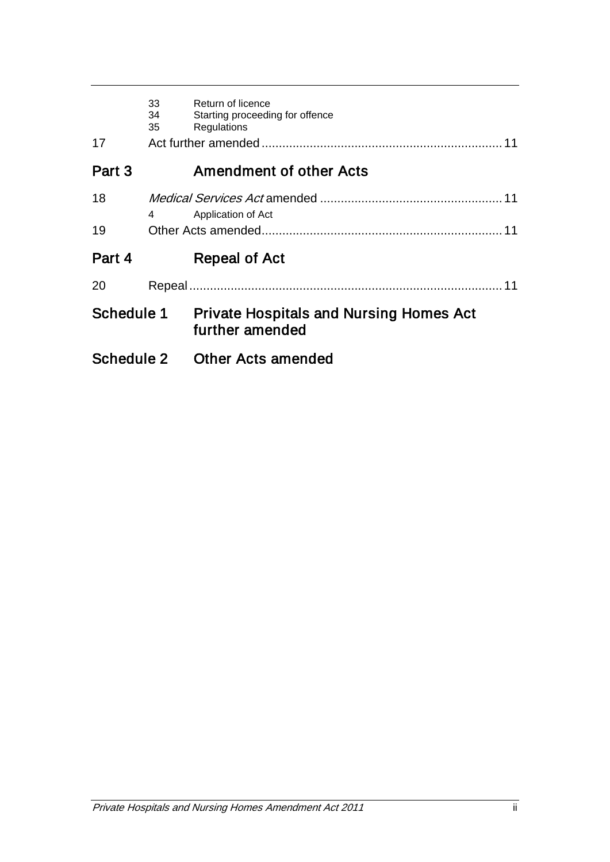| 17         | 33<br>34<br>35 | Return of licence<br>Starting proceeding for offence<br>Regulations<br>11 |
|------------|----------------|---------------------------------------------------------------------------|
| Part 3     |                | <b>Amendment of other Acts</b>                                            |
| 18         | 4              | Application of Act                                                        |
| 19         |                | 11                                                                        |
| Part 4     |                | Repeal of Act                                                             |
| 20         |                | 11                                                                        |
| Schedule 1 |                | <b>Private Hospitals and Nursing Homes Act</b><br>further amended         |
| Schedule 2 |                | <b>Other Acts amended</b>                                                 |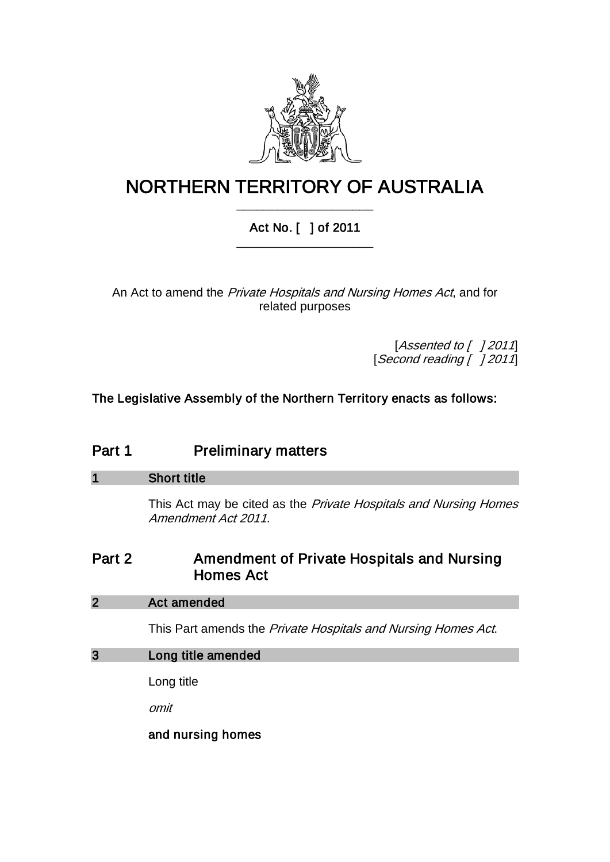

# NORTHERN TERRITORY OF AUSTRALIA \_\_\_\_\_\_\_\_\_\_\_\_\_\_\_\_\_\_\_\_

# Act No. [ ] of 2011 \_\_\_\_\_\_\_\_\_\_\_\_\_\_\_\_\_\_\_\_

An Act to amend the Private Hospitals and Nursing Homes Act, and for related purposes

> [Assented to [ ] 2011] [Second reading [ ] 2011]

The Legislative Assembly of the Northern Territory enacts as follows:

| Part 1 | <b>Preliminary matters</b> |
|--------|----------------------------|
|--------|----------------------------|

| $\overline{\mathbf{1}}$ | <b>Short title</b>                                                                      |
|-------------------------|-----------------------------------------------------------------------------------------|
|                         | This Act may be cited as the Private Hospitals and Nursing Homes<br>Amendment Act 2011. |
| Part 2                  | Amendment of Private Hospitals and Nursing<br><b>Homes Act</b>                          |
| $\overline{2}$          | <b>Act amended</b>                                                                      |
|                         | This Part amends the <i>Private Hospitals and Nursing Homes Act.</i>                    |
| $\overline{3}$          | Long title amended                                                                      |
|                         | Long title                                                                              |
|                         | omit                                                                                    |
|                         | and nursing homes                                                                       |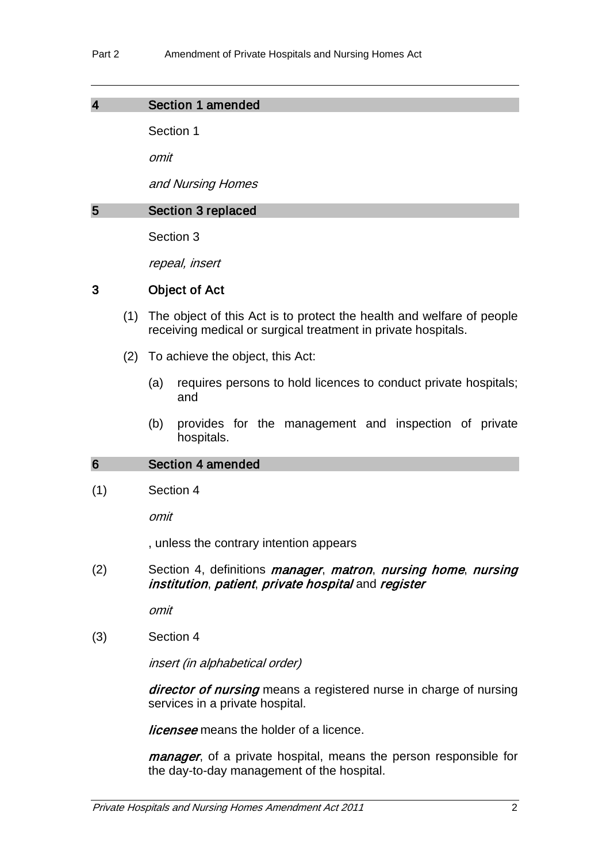### 4 Section 1 amended

Section 1

omit

and Nursing Homes

#### 5 Section 3 replaced

Section 3

repeal, insert

## 3 Object of Act

- (1) The object of this Act is to protect the health and welfare of people receiving medical or surgical treatment in private hospitals.
- (2) To achieve the object, this Act:
	- (a) requires persons to hold licences to conduct private hospitals; and
	- (b) provides for the management and inspection of private hospitals.

#### 6 Section 4 amended

(1) Section 4

omit

, unless the contrary intention appears

(2) Section 4, definitions *manager, matron, nursing home, nursing* institution, patient, private hospital and register

omit

(3) Section 4

insert (in alphabetical order)

director of nursing means a registered nurse in charge of nursing services in a private hospital.

*licensee* means the holder of a licence.

manager, of a private hospital, means the person responsible for the day-to-day management of the hospital.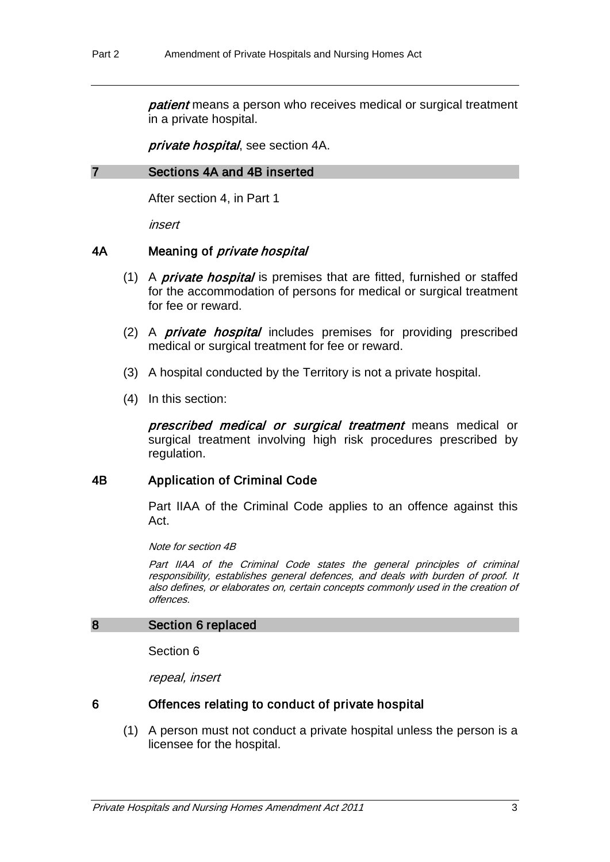patient means a person who receives medical or surgical treatment in a private hospital.

private hospital, see section 4A.

#### 7 Sections 4A and 4B inserted

After section 4, in Part 1

insert

#### 4A Meaning of *private hospital*

- (1) A *private hospital* is premises that are fitted, furnished or staffed for the accommodation of persons for medical or surgical treatment for fee or reward.
- (2) A *private hospital* includes premises for providing prescribed medical or surgical treatment for fee or reward.
- (3) A hospital conducted by the Territory is not a private hospital.
- (4) In this section:

prescribed medical or surgical treatment means medical or surgical treatment involving high risk procedures prescribed by regulation.

#### 4B Application of Criminal Code

Part IIAA of the Criminal Code applies to an offence against this Act.

Note for section 4B

Part IIAA of the Criminal Code states the general principles of criminal responsibility, establishes general defences, and deals with burden of proof. It also defines, or elaborates on, certain concepts commonly used in the creation of offences.

#### 8 Section 6 replaced

Section 6

repeal, insert

#### 6 Offences relating to conduct of private hospital

(1) A person must not conduct a private hospital unless the person is a licensee for the hospital.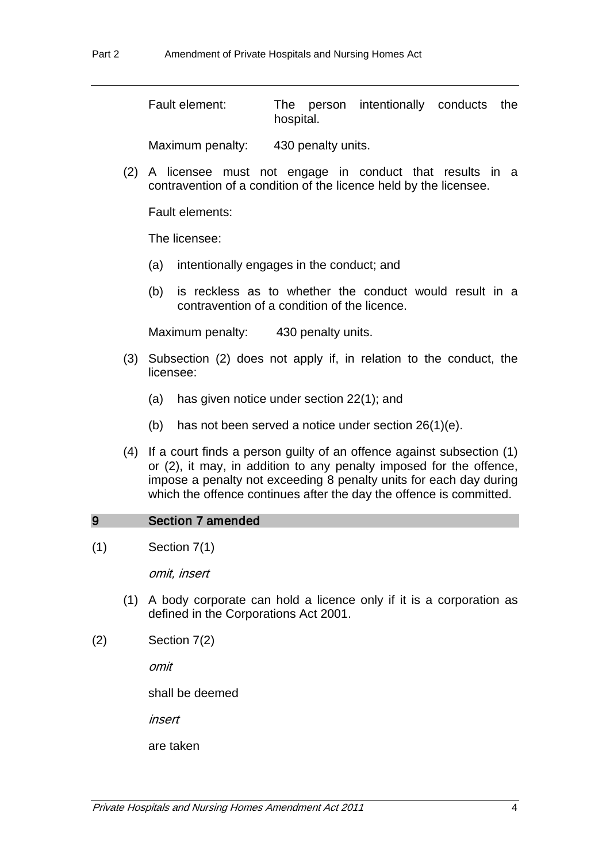Fault element: The person intentionally conducts the hospital.

Maximum penalty: 430 penalty units.

(2) A licensee must not engage in conduct that results in a contravention of a condition of the licence held by the licensee.

Fault elements:

The licensee:

- (a) intentionally engages in the conduct; and
- (b) is reckless as to whether the conduct would result in a contravention of a condition of the licence.

Maximum penalty: 430 penalty units.

- (3) Subsection (2) does not apply if, in relation to the conduct, the licensee:
	- (a) has given notice under section 22(1); and
	- (b) has not been served a notice under section 26(1)(e).
- (4) If a court finds a person guilty of an offence against subsection (1) or (2), it may, in addition to any penalty imposed for the offence, impose a penalty not exceeding 8 penalty units for each day during which the offence continues after the day the offence is committed.

#### 9 Section 7 amended

(1) Section 7(1)

omit, insert

- (1) A body corporate can hold a licence only if it is a corporation as defined in the Corporations Act 2001.
- (2) Section 7(2)

omit

shall be deemed

insert

are taken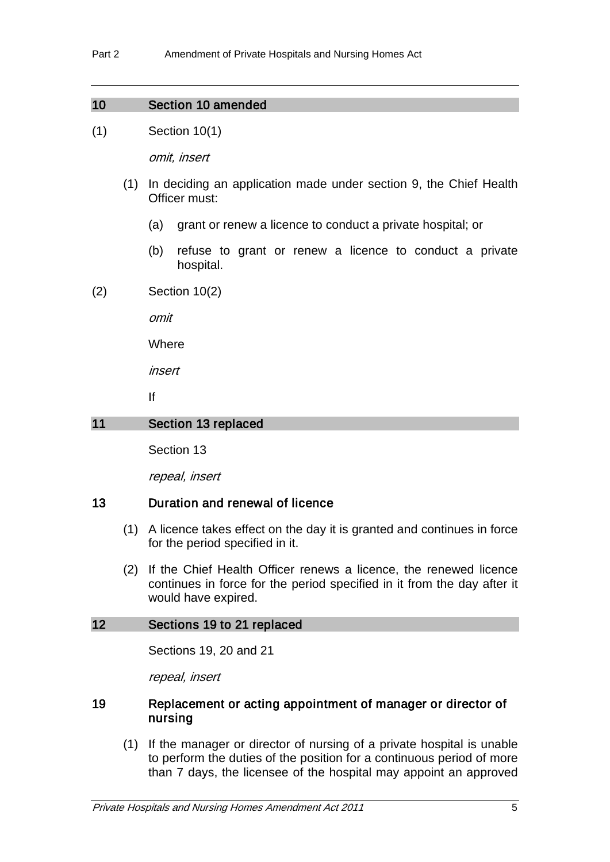## 10 Section 10 amended

(1) Section 10(1)

omit, insert

- (1) In deciding an application made under section 9, the Chief Health Officer must:
	- (a) grant or renew a licence to conduct a private hospital; or
	- (b) refuse to grant or renew a licence to conduct a private hospital.
- (2) Section 10(2)

omit

**Where** 

insert

If

## 11 Section 13 replaced

Section 13

repeal, insert

#### 13 Duration and renewal of licence

- (1) A licence takes effect on the day it is granted and continues in force for the period specified in it.
- (2) If the Chief Health Officer renews a licence, the renewed licence continues in force for the period specified in it from the day after it would have expired.

#### 12 Sections 19 to 21 replaced

Sections 19, 20 and 21

repeal, insert

### 19 Replacement or acting appointment of manager or director of nursing

(1) If the manager or director of nursing of a private hospital is unable to perform the duties of the position for a continuous period of more than 7 days, the licensee of the hospital may appoint an approved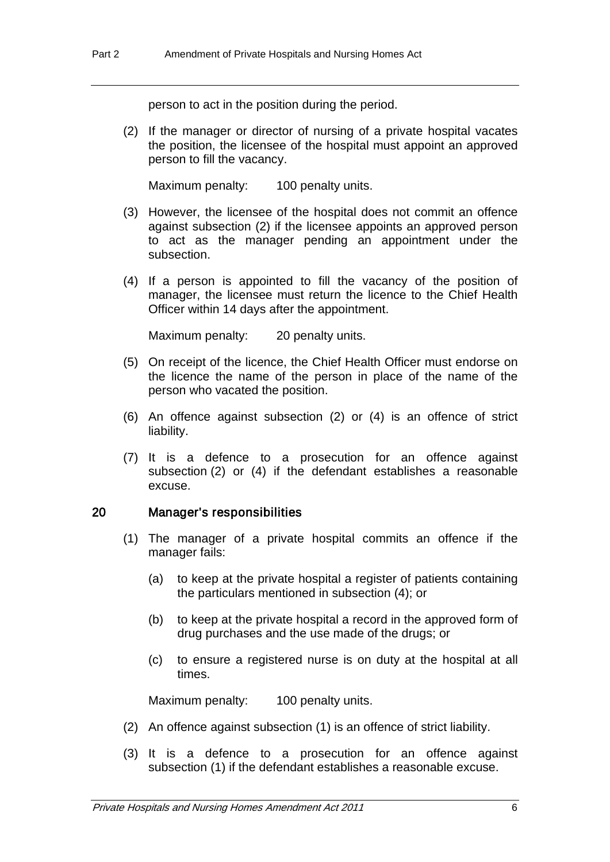person to act in the position during the period.

(2) If the manager or director of nursing of a private hospital vacates the position, the licensee of the hospital must appoint an approved person to fill the vacancy.

Maximum penalty: 100 penalty units.

- (3) However, the licensee of the hospital does not commit an offence against subsection (2) if the licensee appoints an approved person to act as the manager pending an appointment under the subsection.
- (4) If a person is appointed to fill the vacancy of the position of manager, the licensee must return the licence to the Chief Health Officer within 14 days after the appointment.

Maximum penalty: 20 penalty units.

- (5) On receipt of the licence, the Chief Health Officer must endorse on the licence the name of the person in place of the name of the person who vacated the position.
- (6) An offence against subsection (2) or (4) is an offence of strict liability.
- (7) It is a defence to a prosecution for an offence against subsection (2) or (4) if the defendant establishes a reasonable excuse.

#### 20 Manager's responsibilities

- (1) The manager of a private hospital commits an offence if the manager fails:
	- (a) to keep at the private hospital a register of patients containing the particulars mentioned in subsection (4); or
	- (b) to keep at the private hospital a record in the approved form of drug purchases and the use made of the drugs; or
	- (c) to ensure a registered nurse is on duty at the hospital at all times.

Maximum penalty: 100 penalty units.

- (2) An offence against subsection (1) is an offence of strict liability.
- (3) It is a defence to a prosecution for an offence against subsection (1) if the defendant establishes a reasonable excuse.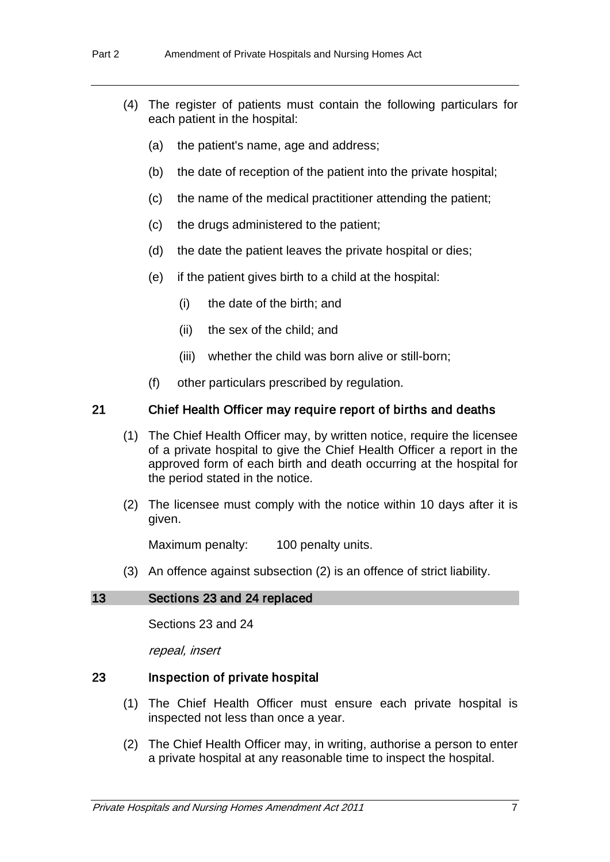- (4) The register of patients must contain the following particulars for each patient in the hospital:
	- (a) the patient's name, age and address;
	- (b) the date of reception of the patient into the private hospital;
	- (c) the name of the medical practitioner attending the patient;
	- (c) the drugs administered to the patient;
	- (d) the date the patient leaves the private hospital or dies;
	- (e) if the patient gives birth to a child at the hospital:
		- (i) the date of the birth; and
		- (ii) the sex of the child; and
		- (iii) whether the child was born alive or still-born;
	- (f) other particulars prescribed by regulation.

#### 21 Chief Health Officer may require report of births and deaths

- (1) The Chief Health Officer may, by written notice, require the licensee of a private hospital to give the Chief Health Officer a report in the approved form of each birth and death occurring at the hospital for the period stated in the notice.
- (2) The licensee must comply with the notice within 10 days after it is given.

Maximum penalty: 100 penalty units.

(3) An offence against subsection (2) is an offence of strict liability.

#### 13 Sections 23 and 24 replaced

Sections 23 and 24

repeal, insert

#### 23 Inspection of private hospital

- (1) The Chief Health Officer must ensure each private hospital is inspected not less than once a year.
- (2) The Chief Health Officer may, in writing, authorise a person to enter a private hospital at any reasonable time to inspect the hospital.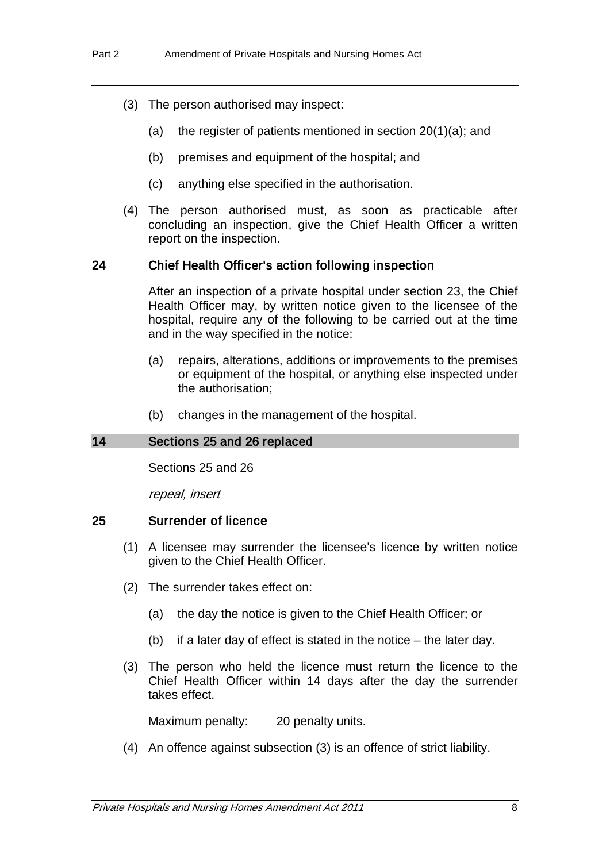- (3) The person authorised may inspect:
	- (a) the register of patients mentioned in section 20(1)(a); and
	- (b) premises and equipment of the hospital; and
	- (c) anything else specified in the authorisation.
- (4) The person authorised must, as soon as practicable after concluding an inspection, give the Chief Health Officer a written report on the inspection.

#### 24 Chief Health Officer's action following inspection

After an inspection of a private hospital under section 23, the Chief Health Officer may, by written notice given to the licensee of the hospital, require any of the following to be carried out at the time and in the way specified in the notice:

- (a) repairs, alterations, additions or improvements to the premises or equipment of the hospital, or anything else inspected under the authorisation;
- (b) changes in the management of the hospital.

#### 14 Sections 25 and 26 replaced

Sections 25 and 26

repeal, insert

#### 25 Surrender of licence

- (1) A licensee may surrender the licensee's licence by written notice given to the Chief Health Officer.
- (2) The surrender takes effect on:
	- (a) the day the notice is given to the Chief Health Officer; or
	- (b) if a later day of effect is stated in the notice the later day.
- (3) The person who held the licence must return the licence to the Chief Health Officer within 14 days after the day the surrender takes effect.

Maximum penalty: 20 penalty units.

(4) An offence against subsection (3) is an offence of strict liability.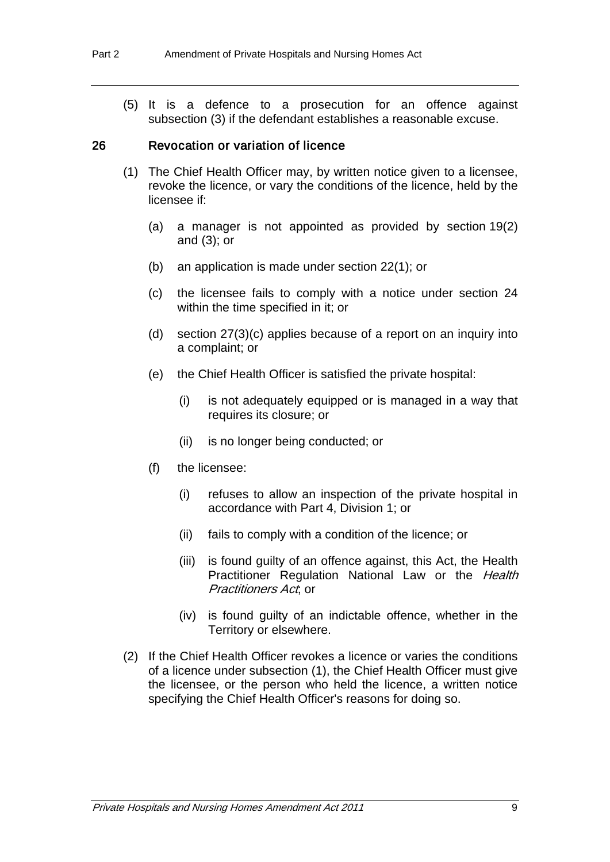(5) It is a defence to a prosecution for an offence against subsection (3) if the defendant establishes a reasonable excuse.

#### 26 Revocation or variation of licence

- (1) The Chief Health Officer may, by written notice given to a licensee, revoke the licence, or vary the conditions of the licence, held by the licensee if:
	- (a) a manager is not appointed as provided by section 19(2) and (3); or
	- (b) an application is made under section 22(1); or
	- (c) the licensee fails to comply with a notice under section 24 within the time specified in it; or
	- (d) section 27(3)(c) applies because of a report on an inquiry into a complaint; or
	- (e) the Chief Health Officer is satisfied the private hospital:
		- (i) is not adequately equipped or is managed in a way that requires its closure; or
		- (ii) is no longer being conducted; or
	- (f) the licensee:
		- (i) refuses to allow an inspection of the private hospital in accordance with Part 4, Division 1; or
		- (ii) fails to comply with a condition of the licence; or
		- (iii) is found guilty of an offence against, this Act, the Health Practitioner Regulation National Law or the Health Practitioners Act or
		- (iv) is found guilty of an indictable offence, whether in the Territory or elsewhere.
- (2) If the Chief Health Officer revokes a licence or varies the conditions of a licence under subsection (1), the Chief Health Officer must give the licensee, or the person who held the licence, a written notice specifying the Chief Health Officer's reasons for doing so.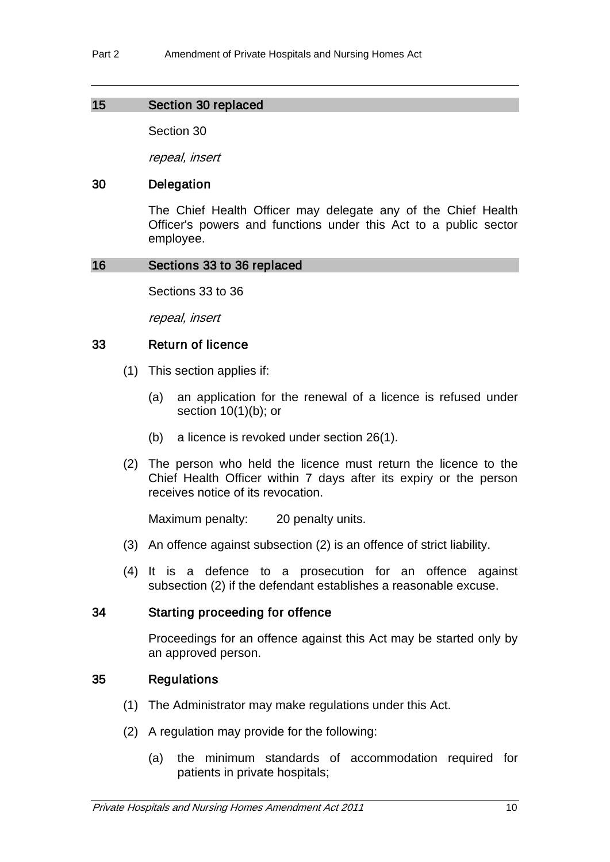## 15 Section 30 replaced

Section 30

repeal, insert

## 30 Delegation

The Chief Health Officer may delegate any of the Chief Health Officer's powers and functions under this Act to a public sector employee.

#### 16 Sections 33 to 36 replaced

Sections 33 to 36

repeal, insert

## 33 Return of licence

- (1) This section applies if:
	- (a) an application for the renewal of a licence is refused under section 10(1)(b); or
	- (b) a licence is revoked under section 26(1).
- (2) The person who held the licence must return the licence to the Chief Health Officer within 7 days after its expiry or the person receives notice of its revocation.

Maximum penalty: 20 penalty units.

- (3) An offence against subsection (2) is an offence of strict liability.
- (4) It is a defence to a prosecution for an offence against subsection (2) if the defendant establishes a reasonable excuse.

#### 34 Starting proceeding for offence

Proceedings for an offence against this Act may be started only by an approved person.

## 35 Regulations

- (1) The Administrator may make regulations under this Act.
- (2) A regulation may provide for the following:
	- (a) the minimum standards of accommodation required for patients in private hospitals;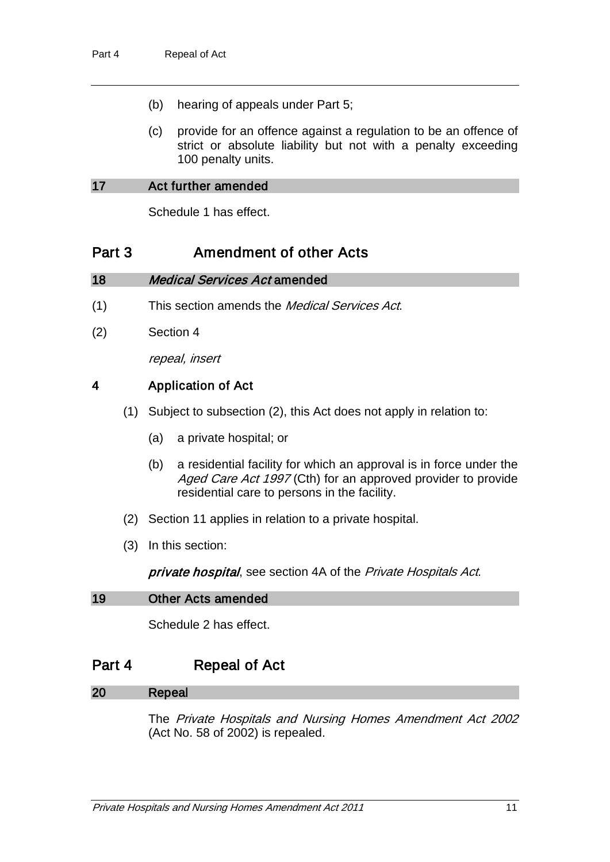- (b) hearing of appeals under Part 5;
- (c) provide for an offence against a regulation to be an offence of strict or absolute liability but not with a penalty exceeding 100 penalty units.

#### 17 Act further amended

Schedule 1 has effect.

# Part 3 Amendment of other Acts

#### 18 Medical Services Act amended

- (1) This section amends the Medical Services Act.
- (2) Section 4

repeal, insert

## 4 Application of Act

- (1) Subject to subsection (2), this Act does not apply in relation to:
	- (a) a private hospital; or
	- (b) a residential facility for which an approval is in force under the Aged Care Act 1997 (Cth) for an approved provider to provide residential care to persons in the facility.
- (2) Section 11 applies in relation to a private hospital.
- (3) In this section:

private hospital, see section 4A of the Private Hospitals Act.

#### 19 Other Acts amended

Schedule 2 has effect.

# Part 4 Repeal of Act

#### 20 Repeal

The Private Hospitals and Nursing Homes Amendment Act 2002 (Act No. 58 of 2002) is repealed.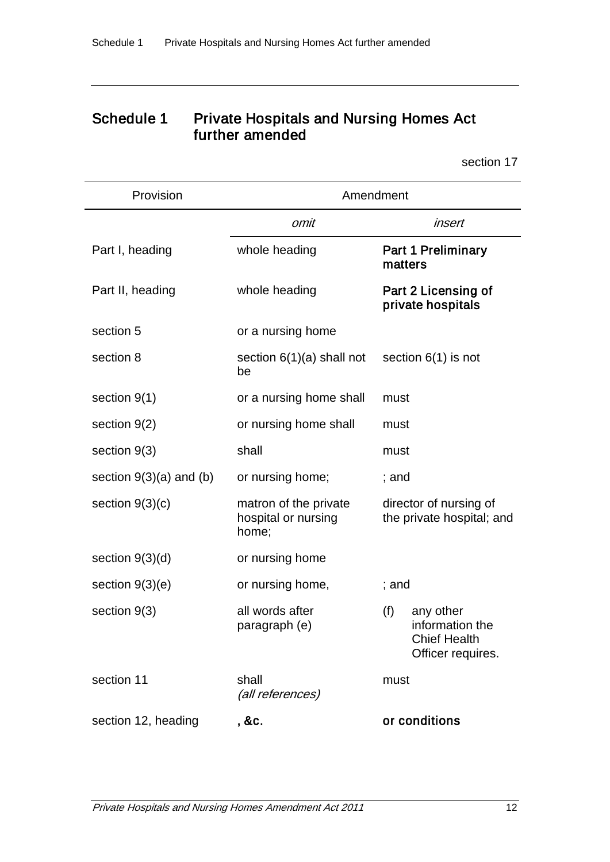# Schedule 1 Private Hospitals and Nursing Homes Act further amended

section 17

| Provision                 | Amendment                                             |                                                                                 |
|---------------------------|-------------------------------------------------------|---------------------------------------------------------------------------------|
|                           | omit                                                  | insert                                                                          |
| Part I, heading           | whole heading                                         | <b>Part 1 Preliminary</b><br>matters                                            |
| Part II, heading          | whole heading                                         | Part 2 Licensing of<br>private hospitals                                        |
| section 5                 | or a nursing home                                     |                                                                                 |
| section 8                 | section $6(1)(a)$ shall not<br>be                     | section $6(1)$ is not                                                           |
| section $9(1)$            | or a nursing home shall                               | must                                                                            |
| section 9(2)              | or nursing home shall                                 | must                                                                            |
| section $9(3)$            | shall                                                 | must                                                                            |
| section $9(3)(a)$ and (b) | or nursing home;                                      | ; and                                                                           |
| section $9(3)(c)$         | matron of the private<br>hospital or nursing<br>home; | director of nursing of<br>the private hospital; and                             |
| section $9(3)(d)$         | or nursing home                                       |                                                                                 |
| section $9(3)(e)$         | or nursing home,                                      | ; and                                                                           |
| section $9(3)$            | all words after<br>paragraph (e)                      | (f)<br>any other<br>information the<br><b>Chief Health</b><br>Officer requires. |
| section 11                | shall<br>(all references)                             | must                                                                            |
| section 12, heading       | , &c.                                                 | or conditions                                                                   |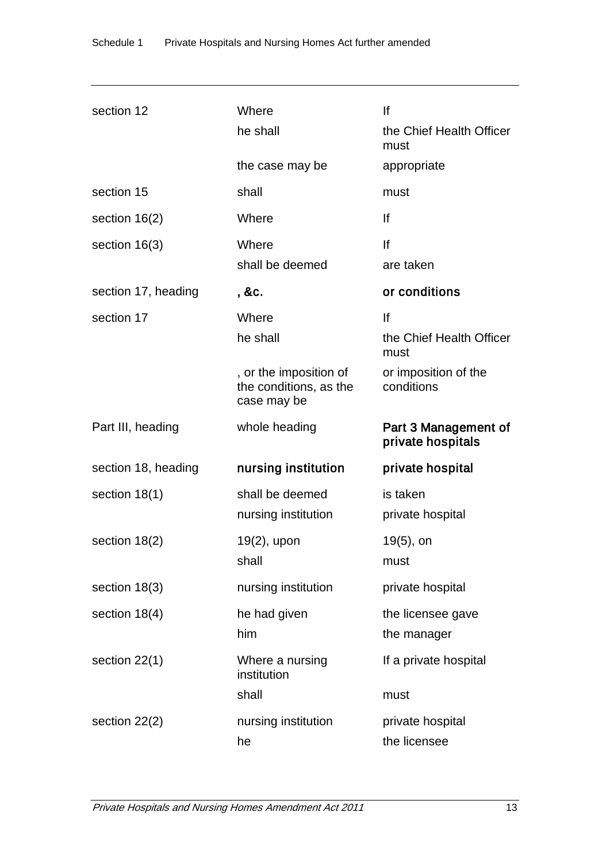| section 12          | Where<br>he shall                                               | lf<br>the Chief Health Officer            |
|---------------------|-----------------------------------------------------------------|-------------------------------------------|
|                     |                                                                 | must                                      |
|                     | the case may be                                                 | appropriate                               |
| section 15          | shall                                                           | must                                      |
| section $16(2)$     | Where                                                           | lf                                        |
| section $16(3)$     | Where                                                           | lf                                        |
|                     | shall be deemed                                                 | are taken                                 |
| section 17, heading | , &c.                                                           | or conditions                             |
| section 17          | Where                                                           | lf                                        |
|                     | he shall                                                        | the Chief Health Officer<br>must          |
|                     | , or the imposition of<br>the conditions, as the<br>case may be | or imposition of the<br>conditions        |
|                     |                                                                 |                                           |
| Part III, heading   | whole heading                                                   | Part 3 Management of<br>private hospitals |
| section 18, heading | nursing institution                                             | private hospital                          |
| section $18(1)$     | shall be deemed                                                 | is taken                                  |
|                     | nursing institution                                             | private hospital                          |
| section $18(2)$     | 19(2), upon                                                     | 19(5), on                                 |
|                     | shall                                                           | must                                      |
| section 18(3)       | nursing institution                                             | private hospital                          |
| section 18(4)       | he had given                                                    | the licensee gave                         |
|                     | him                                                             | the manager                               |
| section $22(1)$     | Where a nursing<br>institution                                  | If a private hospital                     |
|                     | shall                                                           | must                                      |
| section $22(2)$     | nursing institution                                             | private hospital                          |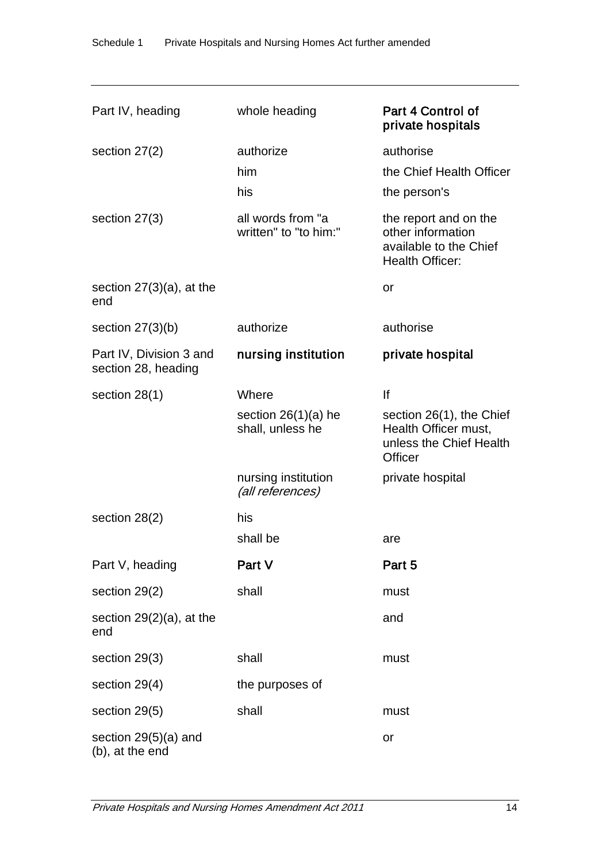| Part IV, heading                               | whole heading                              | Part 4 Control of<br>private hospitals                                                         |
|------------------------------------------------|--------------------------------------------|------------------------------------------------------------------------------------------------|
| section $27(2)$                                | authorize<br>him<br>his                    | authorise<br>the Chief Health Officer<br>the person's                                          |
| section $27(3)$                                | all words from "a<br>written" to "to him:" | the report and on the<br>other information<br>available to the Chief<br><b>Health Officer:</b> |
| section $27(3)(a)$ , at the<br>end             |                                            | or                                                                                             |
| section $27(3)(b)$                             | authorize                                  | authorise                                                                                      |
| Part IV, Division 3 and<br>section 28, heading | nursing institution                        | private hospital                                                                               |
| section $28(1)$                                | Where                                      | lf                                                                                             |
|                                                | section $26(1)(a)$ he<br>shall, unless he  | section 26(1), the Chief<br>Health Officer must,<br>unless the Chief Health<br>Officer         |
|                                                | nursing institution<br>(all references)    | private hospital                                                                               |
| section $28(2)$                                | his                                        |                                                                                                |
|                                                | shall be                                   | are                                                                                            |
| Part V, heading                                | Part V                                     | Part 5                                                                                         |
| section 29(2)                                  | shall                                      | must                                                                                           |
| section $29(2)(a)$ , at the<br>end             |                                            | and                                                                                            |
| section 29(3)                                  | shall                                      | must                                                                                           |
| section 29(4)                                  | the purposes of                            |                                                                                                |
| section 29(5)                                  | shall                                      | must                                                                                           |
| section 29(5)(a) and<br>(b), at the end        |                                            | or                                                                                             |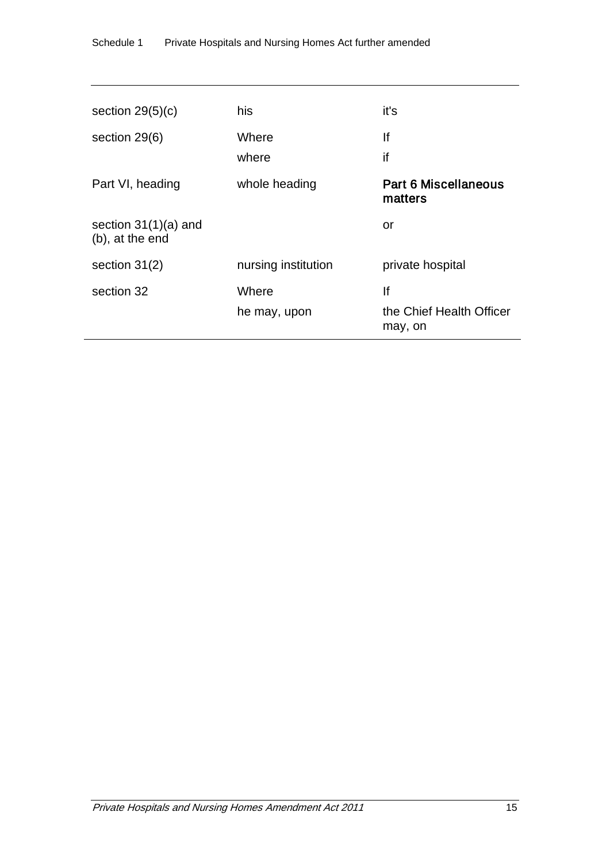| section $29(5)(c)$                        | his                 | it's                                   |
|-------------------------------------------|---------------------|----------------------------------------|
|                                           |                     |                                        |
| section 29(6)                             | Where               | lf                                     |
|                                           | where               | if                                     |
| Part VI, heading                          | whole heading       | <b>Part 6 Miscellaneous</b><br>matters |
| section $31(1)(a)$ and<br>(b), at the end |                     | or                                     |
| section $31(2)$                           | nursing institution | private hospital                       |
| section 32                                | Where               | lf                                     |
|                                           | he may, upon        | the Chief Health Officer<br>may, on    |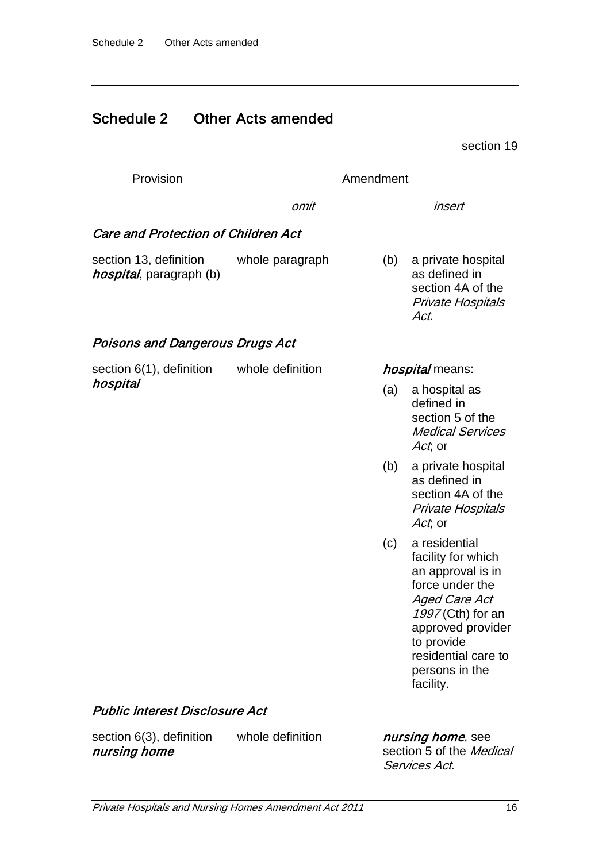# Schedule 2 Other Acts amended

section 19

| Provision                                                 | Amendment        |                        |                                                                                                                                                                                                            |
|-----------------------------------------------------------|------------------|------------------------|------------------------------------------------------------------------------------------------------------------------------------------------------------------------------------------------------------|
|                                                           | omit             |                        | insert                                                                                                                                                                                                     |
| <b>Care and Protection of Children Act</b>                |                  |                        |                                                                                                                                                                                                            |
| section 13, definition<br><i>hospital</i> , paragraph (b) | whole paragraph  | (b)                    | a private hospital<br>as defined in<br>section 4A of the<br><b>Private Hospitals</b><br>Act.                                                                                                               |
| Poisons and Dangerous Drugs Act                           |                  |                        |                                                                                                                                                                                                            |
| section 6(1), definition                                  | whole definition | <i>hospital</i> means: |                                                                                                                                                                                                            |
| hospital                                                  |                  | (a)                    | a hospital as<br>defined in<br>section 5 of the<br><b>Medical Services</b><br>Act, or                                                                                                                      |
|                                                           |                  | (b)                    | a private hospital<br>as defined in<br>section 4A of the<br><b>Private Hospitals</b><br>Act, or                                                                                                            |
|                                                           |                  | (c)                    | a residential<br>facility for which<br>an approval is in<br>force under the<br>Aged Care Act<br>1997 (Cth) for an<br>approved provider<br>to provide<br>residential care to<br>persons in the<br>facility. |
| Public Interest Disclosure Act                            |                  |                        |                                                                                                                                                                                                            |
| section 6(3), definition<br>nursing home                  | whole definition |                        | nursing home, see<br>section 5 of the Medical                                                                                                                                                              |

section 5 of the Medical Services Act.